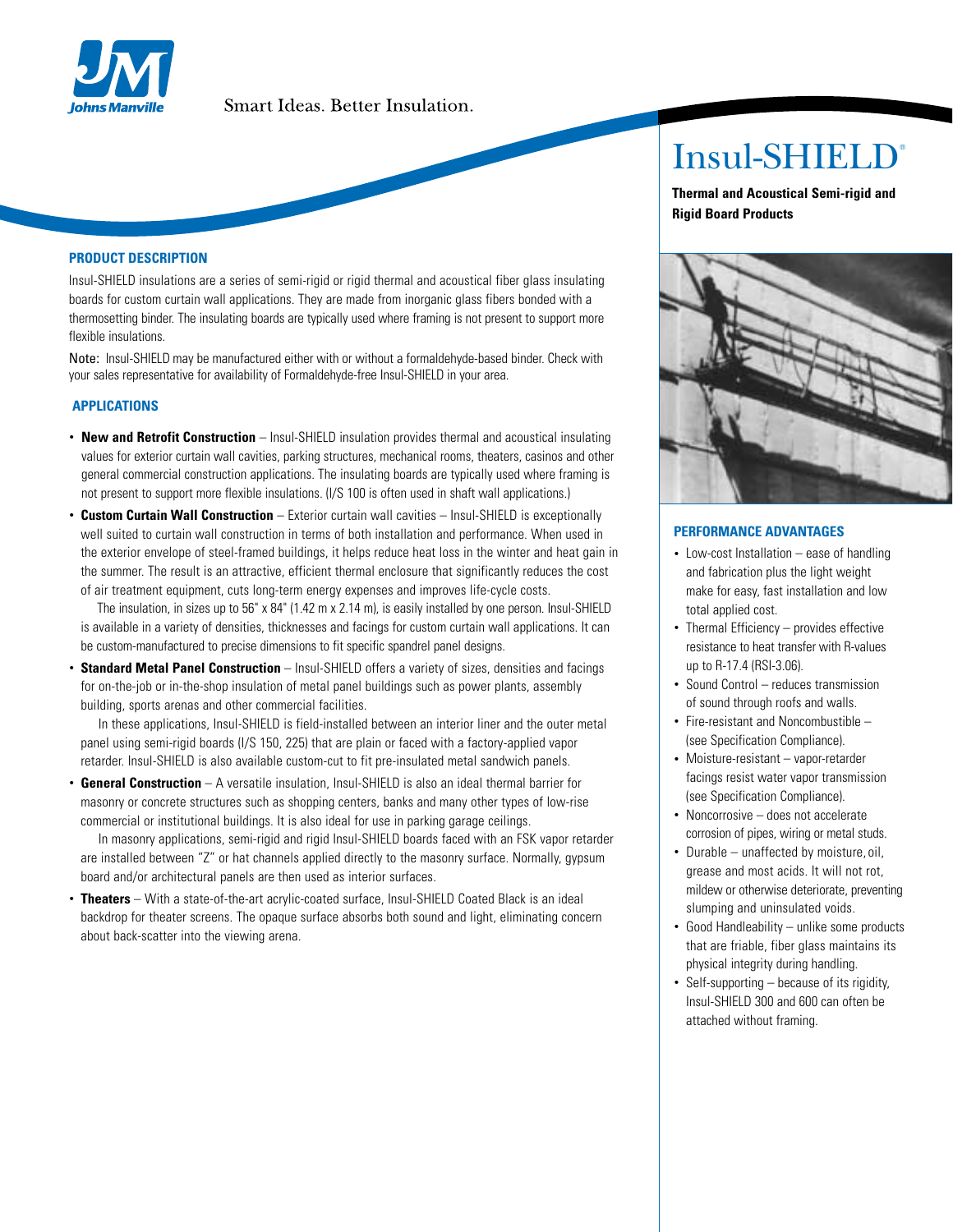

# Smart Ideas. Better Insulation.

#### **PRODUCT DESCRIPTION**

Insul-SHIELD insulations are a series of semi-rigid or rigid thermal and acoustical fiber glass insulating boards for custom curtain wall applications. They are made from inorganic glass fibers bonded with a thermosetting binder. The insulating boards are typically used where framing is not present to support more flexible insulations.

Note: Insul-SHIELD may be manufactured either with or without a formaldehyde-based binder. Check with your sales representative for availability of Formaldehyde-free Insul-SHIELD in your area.

## **APPLICATIONS**

- **New and Retrofit Construction**  Insul-SHIELD insulation provides thermal and acoustical insulating values for exterior curtain wall cavities, parking structures, mechanical rooms, theaters, casinos and other general commercial construction applications. The insulating boards are typically used where framing is not present to support more flexible insulations. (I/S 100 is often used in shaft wall applications.)
- **Custom Curtain Wall Construction** Exterior curtain wall cavities Insul-SHIELD is exceptionally well suited to curtain wall construction in terms of both installation and performance. When used in the exterior envelope of steel-framed buildings, it helps reduce heat loss in the winter and heat gain in the summer. The result is an attractive, efficient thermal enclosure that significantly reduces the cost of air treatment equipment, cuts long-term energy expenses and improves life-cycle costs.

The insulation, in sizes up to 56" x 84" (1.42 m x 2.14 m), is easily installed by one person. Insul-SHIELD is available in a variety of densities, thicknesses and facings for custom curtain wall applications. It can be custom-manufactured to precise dimensions to fit specific spandrel panel designs.

• **Standard Metal Panel Construction** – Insul-SHIELD offers a variety of sizes, densities and facings for on-the-job or in-the-shop insulation of metal panel buildings such as power plants, assembly building, sports arenas and other commercial facilities.

In these applications, Insul-SHIELD is field-installed between an interior liner and the outer metal panel using semi-rigid boards (I/S 150, 225) that are plain or faced with a factory-applied vapor retarder. Insul-SHIELD is also available custom-cut to fit pre-insulated metal sandwich panels.

• **General Construction** – A versatile insulation, Insul-SHIELD is also an ideal thermal barrier for masonry or concrete structures such as shopping centers, banks and many other types of low-rise commercial or institutional buildings. It is also ideal for use in parking garage ceilings.

In masonry applications, semi-rigid and rigid Insul-SHIELD boards faced with an FSK vapor retarder are installed between "Z" or hat channels applied directly to the masonry surface. Normally, gypsum board and/or architectural panels are then used as interior surfaces.

• **Theaters** – With a state-of-the-art acrylic-coated surface, Insul-SHIELD Coated Black is an ideal backdrop for theater screens. The opaque surface absorbs both sound and light, eliminating concern about back-scatter into the viewing arena.

# Insul-SHIELD®

**Thermal and Acoustical Semi-rigid and Rigid Board Products**



## **PERFORMANCE ADVANTAGES**

- Low-cost Installation ease of handling and fabrication plus the light weight make for easy, fast installation and low total applied cost.
- Thermal Efficiency provides effective resistance to heat transfer with R-values up to R-17.4 (RSI-3.06).
- Sound Control reduces transmission of sound through roofs and walls.
- Fire-resistant and Noncombustible (see Specification Compliance).
- Moisture-resistant vapor-retarder facings resist water vapor transmission (see Specification Compliance).
- Noncorrosive does not accelerate corrosion of pipes, wiring or metal studs.
- Durable unaffected by moisture, oil, grease and most acids. It will not rot, mildew or otherwise deteriorate, preventing slumping and uninsulated voids.
- Good Handleability unlike some products that are friable, fiber glass maintains its physical integrity during handling.
- Self-supporting because of its rigidity, Insul-SHIELD 300 and 600 can often be attached without framing.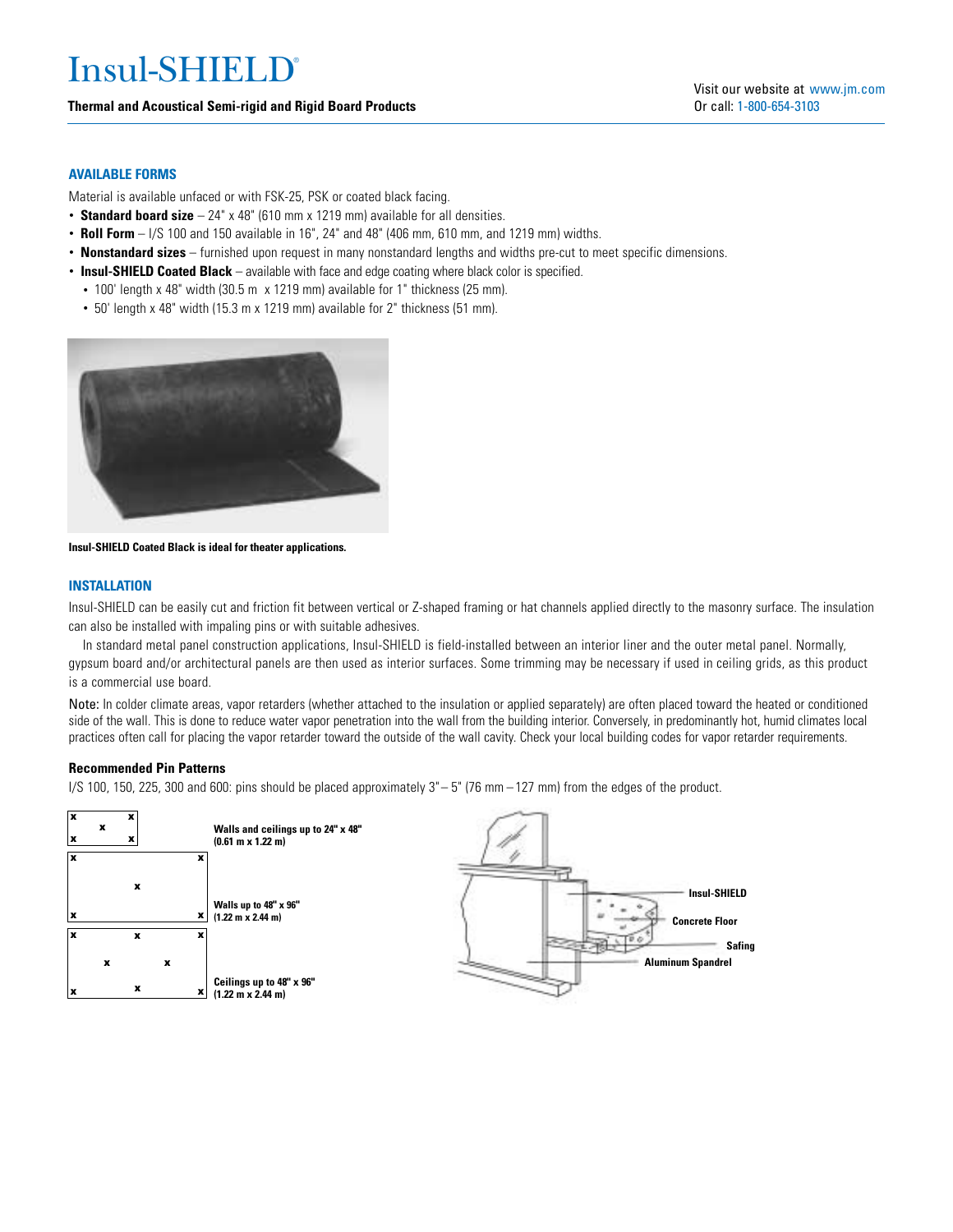# Insul-SHIELD®

# **Thermal and Acoustical Semi-rigid and Rigid Board Products**

# **AVAILABLE FORMS**

Material is available unfaced or with FSK-25, PSK or coated black facing.

- **Standard board size** 24" x 48" (610 mm x 1219 mm) available for all densities.
- **Roll Form** I/S 100 and 150 available in 16", 24" and 48" (406 mm, 610 mm, and 1219 mm) widths.
- **Nonstandard sizes** furnished upon request in many nonstandard lengths and widths pre-cut to meet specific dimensions.
- **Insul-SHIELD Coated Black**  available with face and edge coating where black color is specified.
- 100' length x 48" width (30.5 m x 1219 mm) available for 1" thickness (25 mm).
- 50' length x 48" width (15.3 m x 1219 mm) available for 2" thickness (51 mm).



**Insul-SHIELD Coated Black is ideal for theater applications.**

# **INSTALLATION**

Insul-SHIELD can be easily cut and friction fit between vertical or Z-shaped framing or hat channels applied directly to the masonry surface. The insulation can also be installed with impaling pins or with suitable adhesives.

In standard metal panel construction applications, Insul-SHIELD is field-installed between an interior liner and the outer metal panel. Normally, gypsum board and/or architectural panels are then used as interior surfaces. Some trimming may be necessary if used in ceiling grids, as this product is a commercial use board.

Note: In colder climate areas, vapor retarders (whether attached to the insulation or applied separately) are often placed toward the heated or conditioned side of the wall. This is done to reduce water vapor penetration into the wall from the building interior. Conversely, in predominantly hot, humid climates local practices often call for placing the vapor retarder toward the outside of the wall cavity. Check your local building codes for vapor retarder requirements.

# **Recommended Pin Patterns**

I/S 100, 150, 225, 300 and 600: pins should be placed approximately 3"– 5" (76 mm – 127 mm) from the edges of the product.

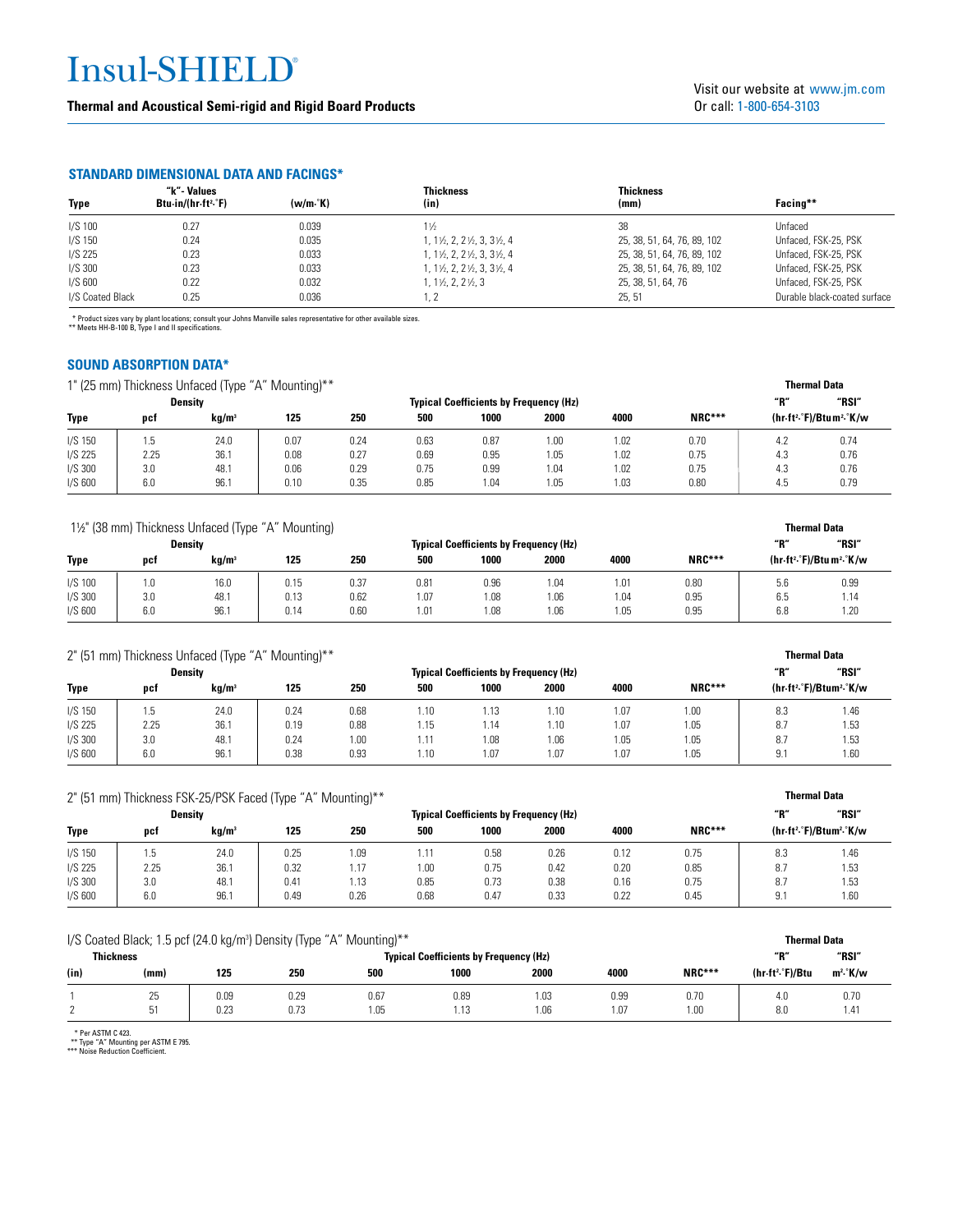# Insul-SHIELD®

**Thermal and Acoustical Semi-rigid and Rigid Board Products**

# **STANDARD DIMENSIONAL DATA AND FACINGS\***

|                  | "k"- Values                                            |                 | <b>Thickness</b>                                       | Thickness                   |                              |
|------------------|--------------------------------------------------------|-----------------|--------------------------------------------------------|-----------------------------|------------------------------|
| Type             | Btu $\cdot$ in/(hr $\cdot$ ft <sup>2</sup> $\cdot$ °F) | $(w/m \cdot K)$ | (in)                                                   | (mm)                        | Facing**                     |
| $I/S$ 100        | 0.27                                                   | 0.039           | $1\frac{1}{2}$                                         | 38                          | Unfaced                      |
| $I/S$ 150        | 0.24                                                   | 0.035           | $1, 1\frac{1}{2}, 2, 2\frac{1}{2}, 3, 3\frac{1}{2}, 4$ | 25, 38, 51, 64, 76, 89, 102 | Unfaced, FSK-25, PSK         |
| $I/S$ 225        | 0.23                                                   | 0.033           | $1, 1\frac{1}{2}, 2, 2\frac{1}{2}, 3, 3\frac{1}{2}, 4$ | 25, 38, 51, 64, 76, 89, 102 | Unfaced, FSK-25, PSK         |
| $I/S$ 300        | 0.23                                                   | 0.033           | $1, 1\frac{1}{2}, 2, 2\frac{1}{2}, 3, 3\frac{1}{2}, 4$ | 25, 38, 51, 64, 76, 89, 102 | Unfaced, FSK-25, PSK         |
| $I/S$ 600        | 0.22                                                   | 0.032           | $1, 1\frac{1}{2}, 2, 2\frac{1}{2}, 3$                  | 25, 38, 51, 64, 76          | Unfaced, FSK-25, PSK         |
| I/S Coated Black | 0.25                                                   | 0.036           |                                                        | 25, 51                      | Durable black-coated surface |

\* Product sizes vary by plant locations; consult your Johns Manville sales representative for other available sizes. \*\* Meets HH-B-100 B, Type I and II specifications.

# **SOUND ABSORPTION DATA\***

1" (25 mm) Thickness Unfaced (Type "A" Mounting)\*\*

| 1" (25 mm) Thickness Unfaced (Type "A" Mounting)** |      |                   |      |      |                                               |      |      |      |               |     | <b>Thermal Data</b>                              |  |
|----------------------------------------------------|------|-------------------|------|------|-----------------------------------------------|------|------|------|---------------|-----|--------------------------------------------------|--|
| Density                                            |      |                   |      |      | <b>Typical Coefficients by Frequency (Hz)</b> |      |      |      |               | "R" | "RSI"                                            |  |
| <b>Type</b>                                        | pct  | kg/m <sup>3</sup> | 125  | 250  | 500                                           | 1000 | 2000 | 4000 | <b>NRC***</b> |     | (hr.ft <sup>2</sup> .°F)/Btum <sup>2</sup> .°K/w |  |
| $I/S$ 150                                          | 1.5  | 24.0              | 0.07 | 0.24 | 0.63                                          | 0.87 | 1.00 | 1.02 | 0.70          | 4.2 | 0.74                                             |  |
| I/S 225                                            | 2.25 | 36.1              | 0.08 | 0.27 | 0.69                                          | 0.95 | 1.05 | 1.02 | 0.75          | 4.3 | 0.76                                             |  |
| $I/S$ 300                                          | 3.0  | 48.1              | 0.06 | 0.29 | 0.75                                          | 0.99 | 1.04 | 1.02 | 0.75          | 4.3 | 0.76                                             |  |
| $I/S$ 600                                          | 6.0  | 96.1              | 0.10 | 0.35 | 0.85                                          | 1.04 | 1.05 | 1.03 | 0.80          | 4.5 | 0.79                                             |  |

| 11/2" (38 mm) Thickness Unfaced (Type "A" Mounting) |     |                   |      |      |                                               |      |      |      |               |     | <b>Thermal Data</b>                               |  |
|-----------------------------------------------------|-----|-------------------|------|------|-----------------------------------------------|------|------|------|---------------|-----|---------------------------------------------------|--|
| <b>Density</b>                                      |     |                   |      |      | <b>Typical Coefficients by Frequency (Hz)</b> |      |      |      |               |     | "RSI"                                             |  |
| Type                                                | pct | kg/m <sup>3</sup> | 125  | 250  | 500                                           | 1000 | 2000 | 4000 | <b>NRC***</b> |     | (hr-ft <sup>2</sup> .°F)/Btu m <sup>2</sup> .°K/w |  |
| $I/S$ 100                                           | 1.0 | 16.0              | 0.15 | 0.37 | 0.81                                          | 0.96 | 1.04 | 1.01 | 0.80          | 5.6 | 0.99                                              |  |
| $I/S$ 300                                           | 3.0 | 48.1              | 0.13 | 0.62 | 1.07                                          | .08  | 1.06 | 1.04 | 0.95          | 6.5 | 1.14                                              |  |
| $I/S$ 600                                           | 6.0 | 96.1              | 0.14 | 0.60 | 1.01                                          | .08  | 1.06 | 1.05 | 0.95          | 6.8 | 1.20                                              |  |

| 2" (51 mm) Thickness Unfaced (Type "A" Mounting)** |      |                   |      |      |                                               |      |      |      |        |            | <b>Thermal Data</b>                              |  |
|----------------------------------------------------|------|-------------------|------|------|-----------------------------------------------|------|------|------|--------|------------|--------------------------------------------------|--|
|                                                    |      | <b>Density</b>    |      |      | <b>Typical Coefficients by Frequency (Hz)</b> |      |      |      |        |            | "RSI"                                            |  |
| Type                                               | pct  | kg/m <sup>3</sup> | 125  | 250  | 500                                           | 1000 | 2000 | 4000 | NRC*** |            | (hr-ft <sup>2</sup> .°F)/Btum <sup>2</sup> .°K/w |  |
| $I/S$ 150                                          | 1.5  | 24.0              | 0.24 | 0.68 | 1.10                                          | 1.13 | 1.10 | 1.07 | 1.00   | 8.3        | 1.46                                             |  |
| I/S 225                                            | 2.25 | 36.1              | 0.19 | 0.88 | 1.15                                          | 1.14 | 1.10 | 1.07 | 1.05   | 8.7        | 1.53                                             |  |
| $I/S$ 300                                          | 3.0  | 48.1              | 0.24 | 1.00 | i.11                                          | 1.08 | 1.06 | 1.05 | 05، ا  | 8.7        | 1.53                                             |  |
| $I/S$ 600                                          | 6.0  | 96.1              | 0.38 | 0.93 | l.10                                          | .07  | 1.07 | 1.07 | 1.05   | Q 1<br>J.I | 1.60                                             |  |

| 2" (51 mm) Thickness FSK-25/PSK Faced (Type "A" Mounting)** |      |                   |      |                                               |               |      |      |      |               |     | <b>Thermal Data</b>                              |  |
|-------------------------------------------------------------|------|-------------------|------|-----------------------------------------------|---------------|------|------|------|---------------|-----|--------------------------------------------------|--|
|                                                             |      | Density           |      | <b>Typical Coefficients by Frequency (Hz)</b> |               |      |      |      |               |     | "RSI"                                            |  |
| Type                                                        | pct  | kg/m <sup>3</sup> | 125  | 250                                           | 500           | 1000 | 2000 | 4000 | <b>NRC***</b> |     | (hr-ft <sup>2</sup> .°F)/Btum <sup>2</sup> .°K/w |  |
| $I/S$ 150                                                   | 1.5  | 24.0              | 0.25 | 1.09                                          | $1.1^{\circ}$ | 0.58 | 0.26 | 0.12 | 0.75          | 8.3 | 1.46                                             |  |
| I/S 225                                                     | 2.25 | 36.1              | 0.32 | 1.17                                          | 1.00          | 0.75 | 0.42 | 0.20 | 0.85          | 8.7 | 1.53                                             |  |
| $I/S$ 300                                                   | 3.0  | 48.1              | 0.41 | 1.13                                          | 0.85          | 0.73 | 0.38 | 0.16 | 0.75          | 8.7 | 1.53                                             |  |
| $I/S$ 600                                                   | 6.0  | 96.1              | 0.49 | 0.26                                          | 0.68          | 0.47 | 0.33 | 0.22 | 0.45          | 9.  | 1.60                                             |  |

| I/S Coated Black; 1.5 pcf (24.0 kg/m <sup>3</sup> ) Density (Type "A" Mounting)** | <b>Thermal Data</b> |      |      |      |      |      |      |        |                              |                      |
|-----------------------------------------------------------------------------------|---------------------|------|------|------|------|------|------|--------|------------------------------|----------------------|
| <b>Thickness</b><br><b>Typical Coefficients by Frequency (Hz)</b>                 |                     |      |      |      |      |      |      | "R"    | "RSI"                        |                      |
| (in)                                                                              | (mm)                | 125  | 250  | 500  | 1000 | 2000 | 4000 | NRC*** | (hr-ft <sup>2</sup> .°F)/Btu | m <sup>2</sup> .°K/w |
|                                                                                   | 25                  | 0.09 | 0.29 | 0.67 | 0.89 | 1.03 | 0.99 | 0.70   | 4.0                          | 0.70                 |
|                                                                                   | 51                  | 0.23 | 0.73 | l.05 | 1.13 | 1.06 | i.O7 | 1.00   | 8.0                          | 1.41                 |

\* Per ASTM C 423. \*\* Type "A" Mounting per ASTM E 795. \*\*\* Noise Reduction Coefficient.